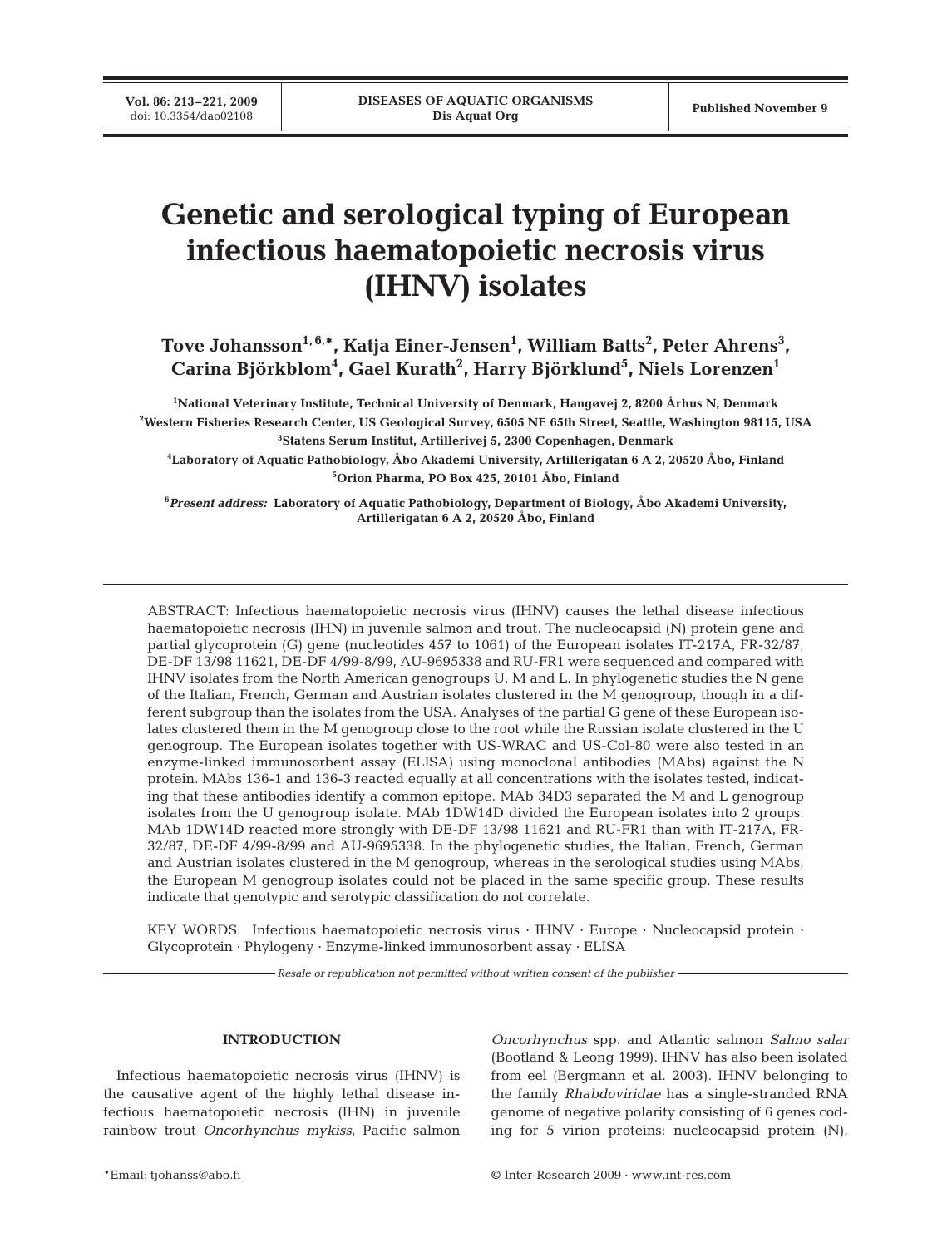**Vol. 86: 213–221, 2009**<br>doi: 10.3354/dao02108

# **Genetic and serological typing of European infectious haematopoietic necrosis virus (IHNV) isolates**

**Tove Johansson1, 6,\*, Katja Einer-Jensen1 , William Batts2 , Peter Ahrens3 , Carina Björkblom4 , Gael Kurath2 , Harry Björklund5 , Niels Lorenzen1**

**1 National Veterinary Institute, Technical University of Denmark, Hangøvej 2, 8200 Århus N, Denmark 2 Western Fisheries Research Center, US Geological Survey, 6505 NE 65th Street, Seattle, Washington 98115, USA 3 Statens Serum Institut, Artillerivej 5, 2300 Copenhagen, Denmark**

**4 Laboratory of Aquatic Pathobiology, Åbo Akademi University, Artillerigatan 6 A 2, 20520 Åbo, Finland 5 Orion Pharma, PO Box 425, 20101 Åbo, Finland**

**6** *Present address:* **Laboratory of Aquatic Pathobiology, Department of Biology, Åbo Akademi University, Artillerigatan 6 A 2, 20520 Åbo, Finland**

ABSTRACT: Infectious haematopoietic necrosis virus (IHNV) causes the lethal disease infectious haematopoietic necrosis (IHN) in juvenile salmon and trout. The nucleocapsid (N) protein gene and partial glycoprotein (G) gene (nucleotides 457 to 1061) of the European isolates IT-217A, FR-32/87, DE-DF 13/98 11621, DE-DF 4/99-8/99, AU-9695338 and RU-FR1 were sequenced and compared with IHNV isolates from the North American genogroups U, M and L. In phylogenetic studies the N gene of the Italian, French, German and Austrian isolates clustered in the M genogroup, though in a different subgroup than the isolates from the USA. Analyses of the partial G gene of these European isolates clustered them in the M genogroup close to the root while the Russian isolate clustered in the U genogroup. The European isolates together with US-WRAC and US-Col-80 were also tested in an enzyme-linked immunosorbent assay (ELISA) using monoclonal antibodies (MAbs) against the N protein. MAbs 136-1 and 136-3 reacted equally at all concentrations with the isolates tested, indicating that these antibodies identify a common epitope. MAb 34D3 separated the M and L genogroup isolates from the U genogroup isolate. MAb 1DW14D divided the European isolates into 2 groups. MAb 1DW14D reacted more strongly with DE-DF 13/98 11621 and RU-FR1 than with IT-217A, FR-32/87, DE-DF 4/99-8/99 and AU-9695338. In the phylogenetic studies, the Italian, French, German and Austrian isolates clustered in the M genogroup, whereas in the serological studies using MAbs, the European M genogroup isolates could not be placed in the same specific group. These results indicate that genotypic and serotypic classification do not correlate.

KEY WORDS: Infectious haematopoietic necrosis virus · IHNV · Europe · Nucleocapsid protein · Glycoprotein · Phylogeny · Enzyme-linked immunosorbent assay · ELISA

*Resale or republication not permitted without written consent of the publisher*

# **INTRODUCTION**

Infectious haematopoietic necrosis virus (IHNV) is the causative agent of the highly lethal disease infectious haematopoietic necrosis (IHN) in juvenile rainbow trout *Oncorhynchus mykiss*, Pacific salmon *Oncorhynchus* spp. and Atlantic salmon *Salmo salar* (Bootland & Leong 1999). IHNV has also been isolated from eel (Bergmann et al. 2003). IHNV belonging to the family *Rhabdoviridae* has a single-stranded RNA genome of negative polarity consisting of 6 genes coding for 5 virion proteins: nucleocapsid protein (N),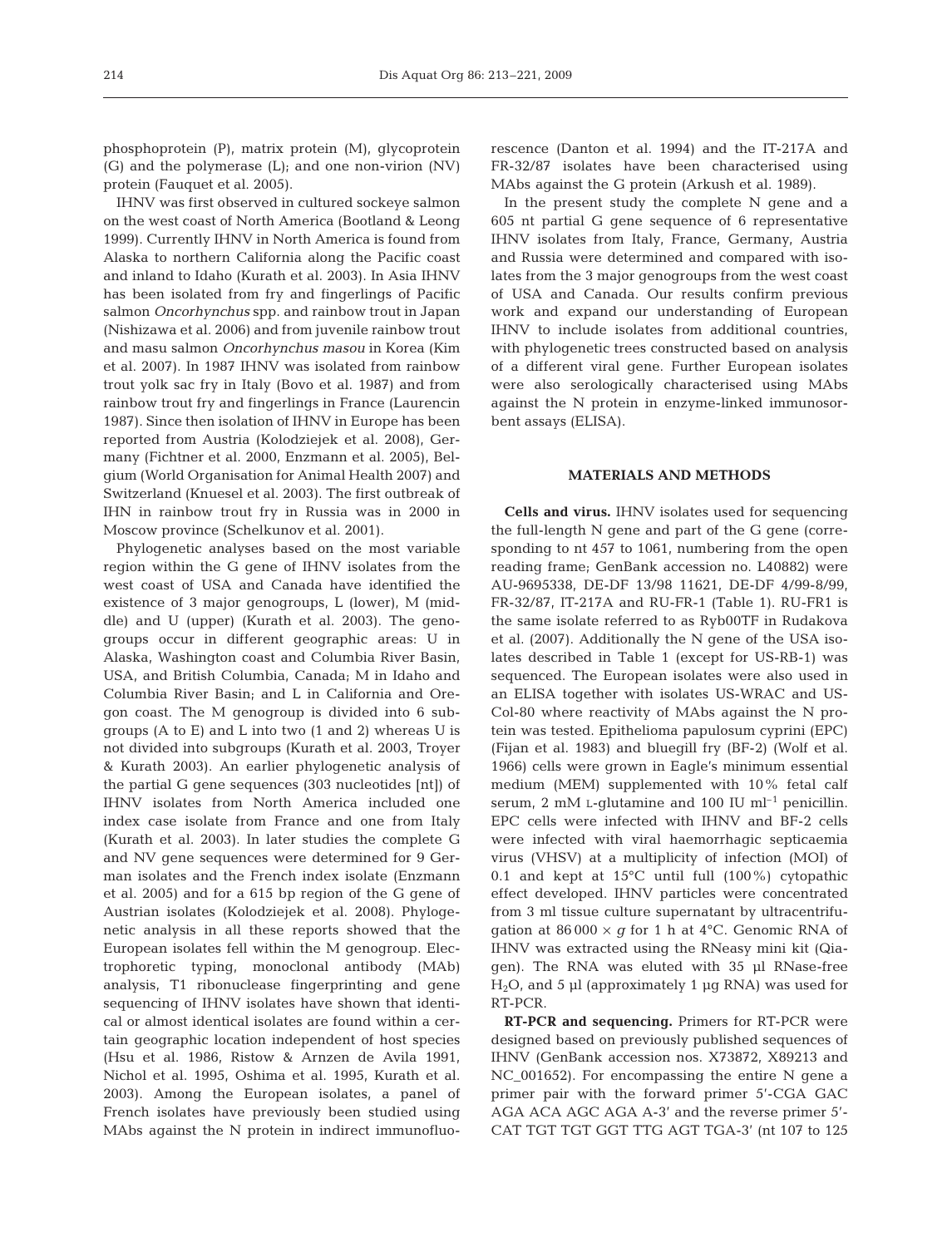phosphoprotein (P), matrix protein (M), glycoprotein (G) and the polymerase (L); and one non-virion (NV) protein (Fauquet et al. 2005).

IHNV was first observed in cultured sockeye salmon on the west coast of North America (Bootland & Leong 1999). Currently IHNV in North America is found from Alaska to northern California along the Pacific coast and inland to Idaho (Kurath et al. 2003). In Asia IHNV has been isolated from fry and fingerlings of Pacific salmon *Oncorhynchus* spp. and rainbow trout in Japan (Nishizawa et al. 2006) and from juvenile rainbow trout and masu salmon *Oncorhynchus masou* in Korea (Kim et al. 2007). In 1987 IHNV was isolated from rainbow trout yolk sac fry in Italy (Bovo et al. 1987) and from rainbow trout fry and fingerlings in France (Laurencin 1987). Since then isolation of IHNV in Europe has been reported from Austria (Kolodziejek et al. 2008), Germany (Fichtner et al. 2000, Enzmann et al. 2005), Belgium (World Organisation for Animal Health 2007) and Switzerland (Knuesel et al. 2003). The first outbreak of IHN in rainbow trout fry in Russia was in 2000 in Moscow province (Schelkunov et al. 2001).

Phylogenetic analyses based on the most variable region within the G gene of IHNV isolates from the west coast of USA and Canada have identified the existence of 3 major genogroups, L (lower), M (middle) and U (upper) (Kurath et al. 2003). The genogroups occur in different geographic areas: U in Alaska, Washington coast and Columbia River Basin, USA, and British Columbia, Canada; M in Idaho and Columbia River Basin; and L in California and Oregon coast. The M genogroup is divided into 6 subgroups (A to E) and L into two (1 and 2) whereas U is not divided into subgroups (Kurath et al. 2003, Troyer & Kurath 2003). An earlier phylogenetic analysis of the partial G gene sequences (303 nucleotides [nt]) of IHNV isolates from North America included one index case isolate from France and one from Italy (Kurath et al. 2003). In later studies the complete G and NV gene sequences were determined for 9 German isolates and the French index isolate (Enzmann et al. 2005) and for a 615 bp region of the G gene of Austrian isolates (Kolodziejek et al. 2008). Phylogenetic analysis in all these reports showed that the European isolates fell within the M genogroup. Electrophoretic typing, monoclonal antibody (MAb) analysis, T1 ribonuclease fingerprinting and gene sequencing of IHNV isolates have shown that identical or almost identical isolates are found within a certain geographic location independent of host species (Hsu et al. 1986, Ristow & Arnzen de Avila 1991, Nichol et al. 1995, Oshima et al. 1995, Kurath et al. 2003). Among the European isolates, a panel of French isolates have previously been studied using MAbs against the N protein in indirect immunofluorescence (Danton et al. 1994) and the IT-217A and FR-32/87 isolates have been characterised using MAbs against the G protein (Arkush et al. 1989).

In the present study the complete N gene and a 605 nt partial G gene sequence of 6 representative IHNV isolates from Italy, France, Germany, Austria and Russia were determined and compared with isolates from the 3 major genogroups from the west coast of USA and Canada. Our results confirm previous work and expand our understanding of European IHNV to include isolates from additional countries, with phylogenetic trees constructed based on analysis of a different viral gene. Further European isolates were also serologically characterised using MAbs against the N protein in enzyme-linked immunosorbent assays (ELISA).

## **MATERIALS AND METHODS**

**Cells and virus.** IHNV isolates used for sequencing the full-length N gene and part of the G gene (corresponding to nt 457 to 1061, numbering from the open reading frame; GenBank accession no. L40882) were AU-9695338, DE-DF 13/98 11621, DE-DF 4/99-8/99, FR-32/87, IT-217A and RU-FR-1 (Table 1). RU-FR1 is the same isolate referred to as Ryb00TF in Rudakova et al. (2007). Additionally the N gene of the USA isolates described in Table 1 (except for US-RB-1) was sequenced. The European isolates were also used in an ELISA together with isolates US-WRAC and US-Col-80 where reactivity of MAbs against the N protein was tested. Epithelioma papulosum cyprini (EPC) (Fijan et al. 1983) and bluegill fry (BF-2) (Wolf et al. 1966) cells were grown in Eagle's minimum essential medium (MEM) supplemented with 10% fetal calf serum, 2 mM L-glutamine and 100 IU  $ml^{-1}$  penicillin. EPC cells were infected with IHNV and BF-2 cells were infected with viral haemorrhagic septicaemia virus (VHSV) at a multiplicity of infection (MOI) of 0.1 and kept at 15°C until full (100%) cytopathic effect developed. IHNV particles were concentrated from 3 ml tissue culture supernatant by ultracentrifugation at  $86\,000 \times g$  for 1 h at  $4^{\circ}$ C. Genomic RNA of IHNV was extracted using the RNeasy mini kit (Qiagen). The RNA was eluted with 35 µl RNase-free  $H<sub>2</sub>O$ , and 5 µl (approximately 1 µg RNA) was used for RT-PCR.

**RT-PCR and sequencing.** Primers for RT-PCR were designed based on previously published sequences of IHNV (GenBank accession nos. X73872, X89213 and NC\_001652). For encompassing the entire N gene a primer pair with the forward primer 5'-CGA GAC AGA ACA AGC AGA A-3' and the reverse primer 5'- CAT TGT TGT GGT TTG AGT TGA-3' (nt 107 to 125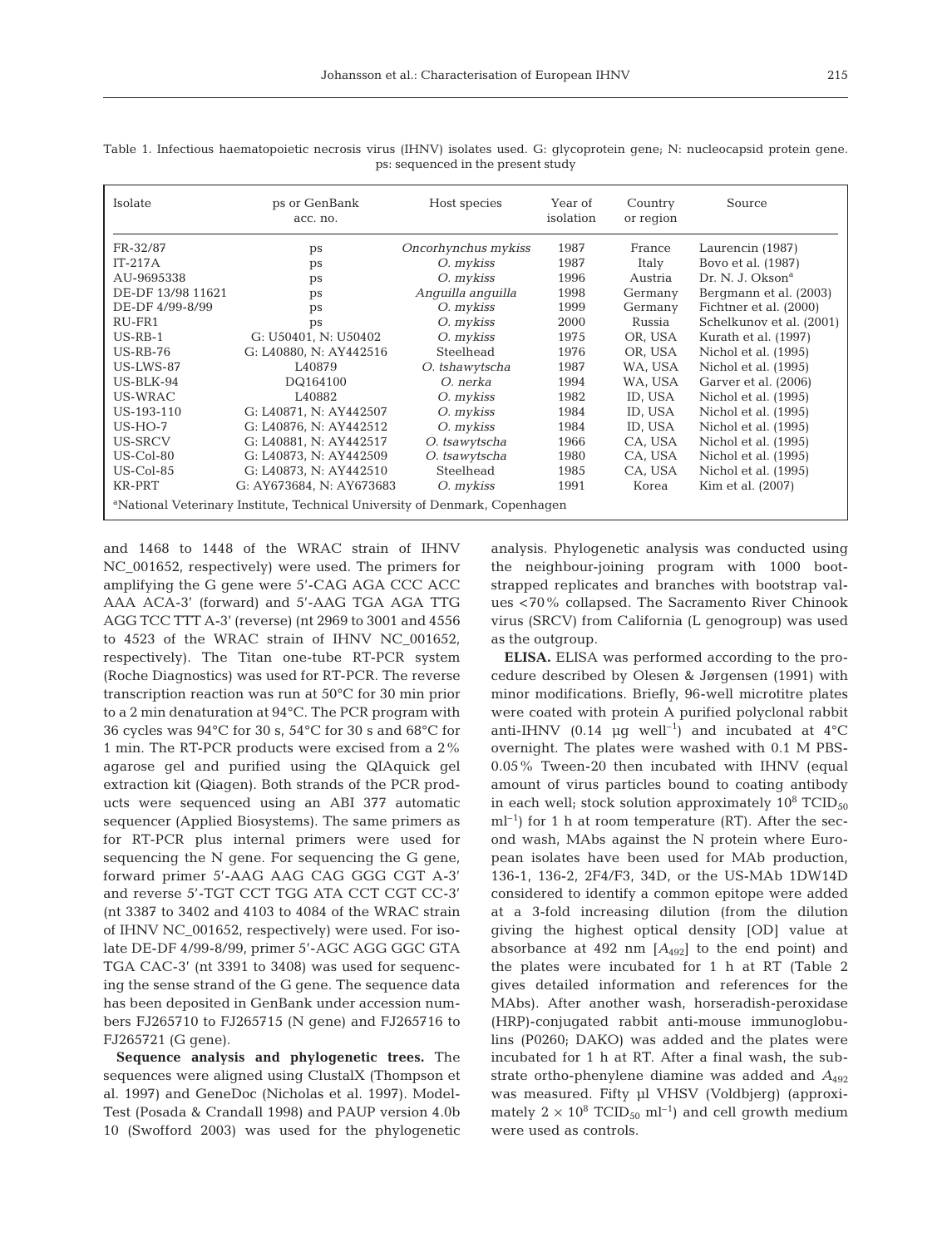| Isolate                                                                                 | ps or GenBank<br>acc. no. | Host species        | Year of<br>isolation | Country<br>or region | Source                       |  |
|-----------------------------------------------------------------------------------------|---------------------------|---------------------|----------------------|----------------------|------------------------------|--|
| FR-32/87                                                                                | ps                        | Oncorhynchus mykiss | 1987                 | France               | Laurencin (1987)             |  |
| $IT-217A$                                                                               | ps                        | O. mykiss           | 1987                 | Italy                | Bovo et al. (1987)           |  |
| AU-9695338                                                                              | ps                        | O. mykiss           | 1996                 | Austria              | Dr. N. J. Okson <sup>a</sup> |  |
| DE-DF 13/98 11621                                                                       | ps                        |                     | 1998                 | Germany              | Bergmann et al. (2003)       |  |
| DE-DF 4/99-8/99                                                                         | ps                        | O. mykiss           | 1999                 | Germany              | Fichtner et al. (2000)       |  |
| RU-FR1                                                                                  | ps                        | O. mykiss           | 2000                 | Russia               | Schelkunov et al. (2001)     |  |
| $US-RB-1$                                                                               | G: U50401, N: U50402      | O. mykiss           | 1975                 | OR, USA              | Kurath et al. (1997)         |  |
| $US-RB-76$                                                                              | G: L40880. N: AY442516    | Steelhead           | 1976                 | OR. USA              | Nichol et al. (1995)         |  |
| US-LWS-87                                                                               | L40879                    | O. tshawytscha      | 1987                 | WA, USA              | Nichol et al. (1995)         |  |
| $US-BLK-94$                                                                             | DQ164100                  | O. nerka            | 1994                 | WA, USA              | Garver et al. (2006)         |  |
| US-WRAC                                                                                 | L40882                    | O. mykiss           | 1982                 | ID, USA              | Nichol et al. (1995)         |  |
| US-193-110                                                                              | G: L40871, N: AY442507    | O. mykiss           | 1984                 | ID, USA              | Nichol et al. (1995)         |  |
| $US-HO-7$                                                                               | G: L40876, N: AY442512    | O. mykiss           | 1984                 | ID, USA              | Nichol et al. (1995)         |  |
| US-SRCV                                                                                 | G: L40881, N: AY442517    | O. tsawytscha       | 1966                 | CA, USA              | Nichol et al. (1995)         |  |
| $US$ -Col-80                                                                            | G: L40873, N: AY442509    | O. tsawytscha       | 1980                 | CA, USA              | Nichol et al. (1995)         |  |
| $US$ -Col-85                                                                            | G: L40873, N: AY442510    | Steelhead           | 1985                 | CA. USA              | Nichol et al. (1995)         |  |
| KR-PRT                                                                                  | G: AY673684, N: AY673683  | O. mykiss           | 1991                 | Korea                | Kim et al. (2007)            |  |
| <sup>a</sup> National Veterinary Institute, Technical University of Denmark, Copenhagen |                           |                     |                      |                      |                              |  |

Table 1. Infectious haematopoietic necrosis virus (IHNV) isolates used. G: glycoprotein gene; N: nucleocapsid protein gene. ps: sequenced in the present study

and 1468 to 1448 of the WRAC strain of IHNV NC\_001652, respectively) were used. The primers for amplifying the G gene were 5'-CAG AGA CCC ACC AAA ACA-3' (forward) and 5'-AAG TGA AGA TTG AGG TCC TTT A-3' (reverse) (nt 2969 to 3001 and 4556 to 4523 of the WRAC strain of IHNV NC\_001652, respectively). The Titan one-tube RT-PCR system (Roche Diagnostics) was used for RT-PCR. The reverse transcription reaction was run at 50°C for 30 min prior to a 2 min denaturation at 94°C. The PCR program with 36 cycles was 94°C for 30 s, 54°C for 30 s and 68°C for 1 min. The RT-PCR products were excised from a 2% agarose gel and purified using the QIAquick gel extraction kit (Qiagen). Both strands of the PCR products were sequenced using an ABI 377 automatic sequencer (Applied Biosystems). The same primers as for RT-PCR plus internal primers were used for sequencing the N gene. For sequencing the G gene, forward primer 5'-AAG AAG CAG GGG CGT A-3' and reverse 5'-TGT CCT TGG ATA CCT CGT CC-3' (nt 3387 to 3402 and 4103 to 4084 of the WRAC strain of IHNV NC\_001652, respectively) were used. For isolate DE-DF 4/99-8/99, primer 5'-AGC AGG GGC GTA TGA CAC-3' (nt 3391 to 3408) was used for sequencing the sense strand of the G gene. The sequence data has been deposited in GenBank under accession numbers FJ265710 to FJ265715 (N gene) and FJ265716 to FJ265721 (G gene).

**Sequence analysis and phylogenetic trees.** The sequences were aligned using ClustalX (Thompson et al. 1997) and GeneDoc (Nicholas et al. 1997). Model-Test (Posada & Crandall 1998) and PAUP version 4.0b 10 (Swofford 2003) was used for the phylogenetic analysis. Phylogenetic analysis was conducted using the neighbour-joining program with 1000 bootstrapped replicates and branches with bootstrap values <70% collapsed. The Sacramento River Chinook virus (SRCV) from California (L genogroup) was used as the outgroup.

**ELISA.** ELISA was performed according to the procedure described by Olesen & Jørgensen (1991) with minor modifications. Briefly, 96-well microtitre plates were coated with protein A purified polyclonal rabbit anti-IHNV (0.14 µg well<sup>-1</sup>) and incubated at  $4^{\circ}$ C overnight. The plates were washed with 0.1 M PBS-0.05% Tween-20 then incubated with IHNV (equal amount of virus particles bound to coating antibody in each well; stock solution approximately  $10^8$  TCID<sub>50</sub>  $ml^{-1}$ ) for 1 h at room temperature (RT). After the second wash, MAbs against the N protein where European isolates have been used for MAb production, 136-1, 136-2, 2F4/F3, 34D, or the US-MAb 1DW14D considered to identify a common epitope were added at a 3-fold increasing dilution (from the dilution giving the highest optical density [OD] value at absorbance at  $492 \text{ nm}$   $[A_{492}]$  to the end point) and the plates were incubated for 1 h at RT (Table 2 gives detailed information and references for the MAbs). After another wash, horseradish-peroxidase (HRP)-conjugated rabbit anti-mouse immunoglobulins (P0260; DAKO) was added and the plates were incubated for 1 h at RT. After a final wash, the substrate ortho-phenylene diamine was added and *A*<sup>492</sup> was measured. Fifty µl VHSV (Voldbjerg) (approximately  $2 \times 10^8$  TCID<sub>50</sub> ml<sup>-1</sup>) and cell growth medium were used as controls.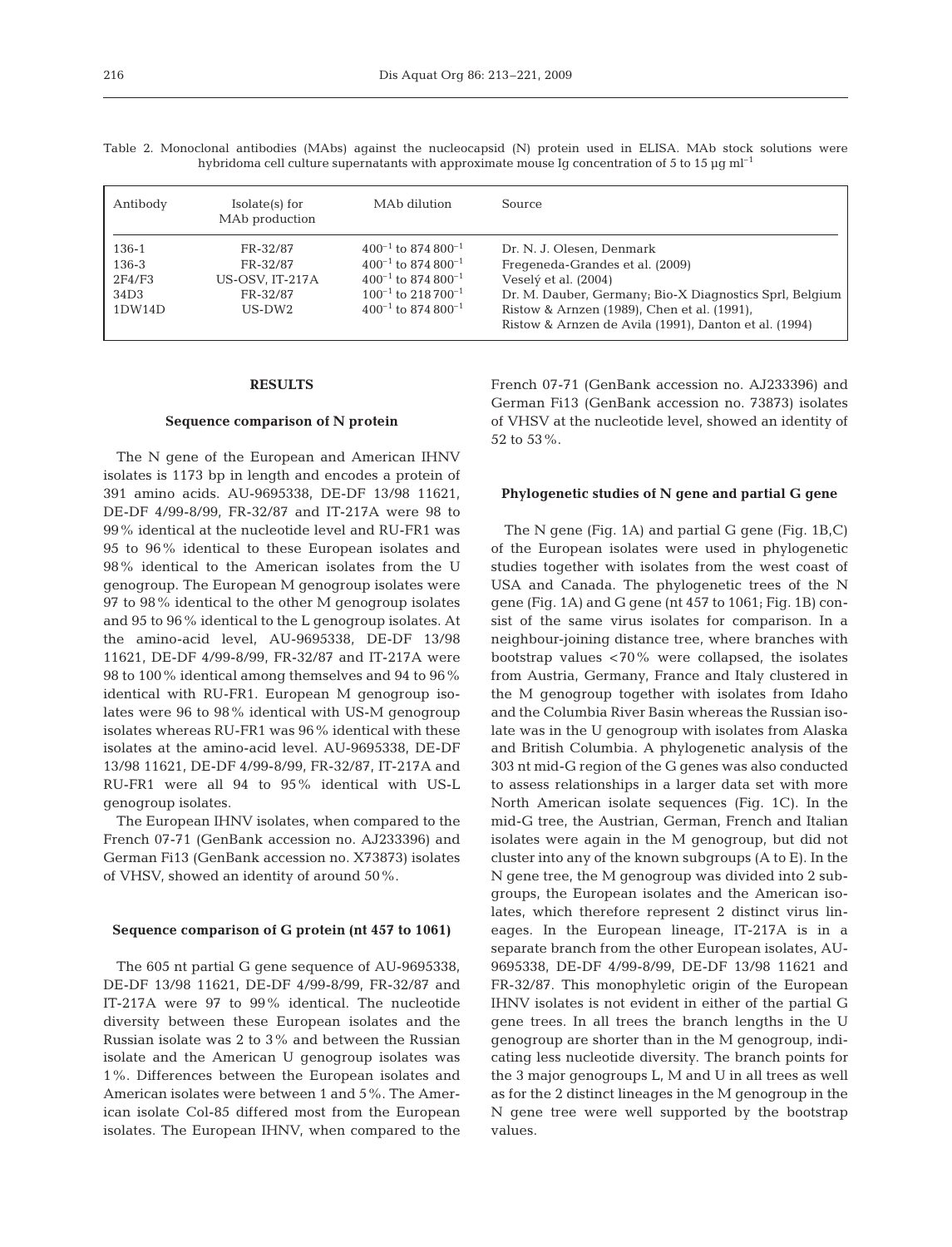| hybridoma cell culture supernatants with approximate mouse Iq concentration of 5 to 15 µq ml <sup>-1</sup> |                                              |                                     |                                                         |  |  |
|------------------------------------------------------------------------------------------------------------|----------------------------------------------|-------------------------------------|---------------------------------------------------------|--|--|
| Antibody                                                                                                   | Isolate(s) for<br>MA <sub>b</sub> production | MAb dilution                        | <b>Source</b>                                           |  |  |
| 136-1                                                                                                      | FR-32/87                                     | $400^{-1}$ to 874 800 <sup>-1</sup> | Dr. N. J. Olesen, Denmark                               |  |  |
| 136-3                                                                                                      | FR-32/87                                     | $400^{-1}$ to 874 800 <sup>-1</sup> | Fregeneda-Grandes et al. (2009)                         |  |  |
| 2F4/F3                                                                                                     | US-OSV. IT-217A                              | $400^{-1}$ to 874 800 <sup>-1</sup> | Veselý et al. (2004)                                    |  |  |
| 34D3                                                                                                       | FR-32/87                                     | $100^{-1}$ to 218 700 <sup>-1</sup> | Dr. M. Dauber, Germany; Bio-X Diagnostics Sprl, Belgium |  |  |

 $34D3$  FR-32/87  $100^{-1}$  to  $218\,700^{-1}$  Dr. M. Dauber, Germany; Bio-X Diagnostics Sprl, Belgium<br>1DW14D US-DW2  $400^{-1}$  to  $874\,800^{-1}$  Ristow & Arnzen (1989), Chen et al. (1991),

Table 2. Monoclonal antibodies (MAbs) against the nucleocapsid (N) protein used in ELISA. MAb stock solutions were hybridoma cell culture supernatants with approximate mouse Ig concentration of 5 to 15  $\rm \upmu g\, \rm m l^{-1}$ 

## **RESULTS**

#### **Sequence comparison of N protein**

The N gene of the European and American IHNV isolates is 1173 bp in length and encodes a protein of 391 amino acids. AU-9695338, DE-DF 13/98 11621, DE-DF 4/99-8/99, FR-32/87 and IT-217A were 98 to 99% identical at the nucleotide level and RU-FR1 was 95 to 96% identical to these European isolates and 98% identical to the American isolates from the U genogroup. The European M genogroup isolates were 97 to 98% identical to the other M genogroup isolates and 95 to 96% identical to the L genogroup isolates. At the amino-acid level, AU-9695338, DE-DF 13/98 11621, DE-DF 4/99-8/99, FR-32/87 and IT-217A were 98 to 100% identical among themselves and 94 to 96% identical with RU-FR1. European M genogroup isolates were 96 to 98% identical with US-M genogroup isolates whereas RU-FR1 was 96% identical with these isolates at the amino-acid level. AU-9695338, DE-DF 13/98 11621, DE-DF 4/99-8/99, FR-32/87, IT-217A and RU-FR1 were all 94 to 95% identical with US-L genogroup isolates.

The European IHNV isolates, when compared to the French 07-71 (GenBank accession no. AJ233396) and German Fi13 (GenBank accession no. X73873) isolates of VHSV, showed an identity of around 50%.

#### **Sequence comparison of G protein (nt 457 to 1061)**

The 605 nt partial G gene sequence of AU-9695338, DE-DF 13/98 11621, DE-DF 4/99-8/99, FR-32/87 and IT-217A were 97 to 99% identical. The nucleotide diversity between these European isolates and the Russian isolate was 2 to 3% and between the Russian isolate and the American U genogroup isolates was 1%. Differences between the European isolates and American isolates were between 1 and 5%. The American isolate Col-85 differed most from the European isolates. The European IHNV, when compared to the French 07-71 (GenBank accession no. AJ233396) and German Fi13 (GenBank accession no. 73873) isolates of VHSV at the nucleotide level, showed an identity of 52 to 53%.

Ristow & Arnzen de Avila (1991), Danton et al. (1994)

Ristow & Arnzen (1989), Chen et al. (1991),

# **Phylogenetic studies of N gene and partial G gene**

The N gene (Fig. 1A) and partial G gene (Fig. 1B,C) of the European isolates were used in phylogenetic studies together with isolates from the west coast of USA and Canada. The phylogenetic trees of the N gene (Fig. 1A) and G gene (nt 457 to 1061; Fig. 1B) consist of the same virus isolates for comparison. In a neighbour-joining distance tree, where branches with bootstrap values <70% were collapsed, the isolates from Austria, Germany, France and Italy clustered in the M genogroup together with isolates from Idaho and the Columbia River Basin whereas the Russian isolate was in the U genogroup with isolates from Alaska and British Columbia. A phylogenetic analysis of the 303 nt mid-G region of the G genes was also conducted to assess relationships in a larger data set with more North American isolate sequences (Fig. 1C). In the mid-G tree, the Austrian, German, French and Italian isolates were again in the M genogroup, but did not cluster into any of the known subgroups (A to E). In the N gene tree, the M genogroup was divided into 2 subgroups, the European isolates and the American isolates, which therefore represent 2 distinct virus lineages. In the European lineage, IT-217A is in a separate branch from the other European isolates, AU-9695338, DE-DF 4/99-8/99, DE-DF 13/98 11621 and FR-32/87. This monophyletic origin of the European IHNV isolates is not evident in either of the partial G gene trees. In all trees the branch lengths in the U genogroup are shorter than in the M genogroup, indicating less nucleotide diversity. The branch points for the 3 major genogroups L, M and U in all trees as well as for the 2 distinct lineages in the M genogroup in the N gene tree were well supported by the bootstrap values.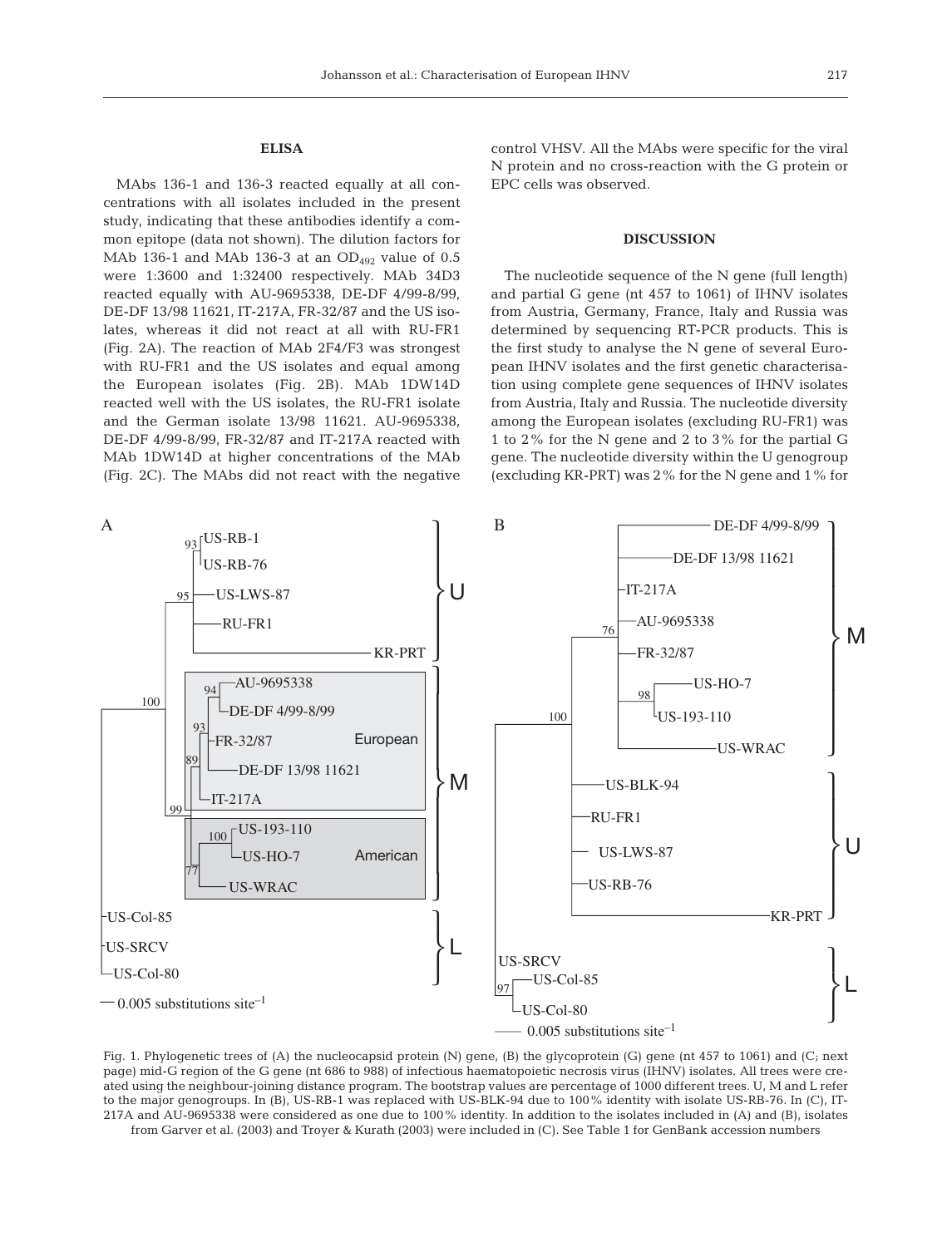# **ELISA**

MAbs 136-1 and 136-3 reacted equally at all concentrations with all isolates included in the present study, indicating that these antibodies identify a common epitope (data not shown). The dilution factors for MAb 136-1 and MAb 136-3 at an  $OD_{492}$  value of 0.5 were 1:3600 and 1:32400 respectively. MAb 34D3 reacted equally with AU-9695338, DE-DF 4/99-8/99, DE-DF 13/98 11621, IT-217A, FR-32/87 and the US isolates, whereas it did not react at all with RU-FR1 (Fig. 2A). The reaction of MAb 2F4/F3 was strongest with RU-FR1 and the US isolates and equal among the European isolates (Fig. 2B). MAb 1DW14D reacted well with the US isolates, the RU-FR1 isolate and the German isolate 13/98 11621. AU-9695338, DE-DF 4/99-8/99, FR-32/87 and IT-217A reacted with MAb 1DW14D at higher concentrations of the MAb (Fig. 2C). The MAbs did not react with the negative control VHSV. All the MAbs were specific for the viral N protein and no cross-reaction with the G protein or EPC cells was observed.

### **DISCUSSION**

The nucleotide sequence of the N gene (full length) and partial G gene (nt 457 to 1061) of IHNV isolates from Austria, Germany, France, Italy and Russia was determined by sequencing RT-PCR products. This is the first study to analyse the N gene of several European IHNV isolates and the first genetic characterisation using complete gene sequences of IHNV isolates from Austria, Italy and Russia. The nucleotide diversity among the European isolates (excluding RU-FR1) was 1 to 2% for the N gene and 2 to 3% for the partial G gene. The nucleotide diversity within the U genogroup (excluding KR-PRT) was 2% for the N gene and 1% for



Fig. 1. Phylogenetic trees of (A) the nucleocapsid protein (N) gene, (B) the glycoprotein (G) gene (nt 457 to 1061) and (C; next page) mid-G region of the G gene (nt 686 to 988) of infectious haematopoietic necrosis virus (IHNV) isolates. All trees were created using the neighbour-joining distance program. The bootstrap values are percentage of 1000 different trees. U, M and L refer to the major genogroups. In (B), US-RB-1 was replaced with US-BLK-94 due to 100% identity with isolate US-RB-76. In (C), IT-217A and AU-9695338 were considered as one due to 100% identity. In addition to the isolates included in (A) and (B), isolates from Garver et al. (2003) and Troyer & Kurath (2003) were included in (C). See Table 1 for GenBank accession numbers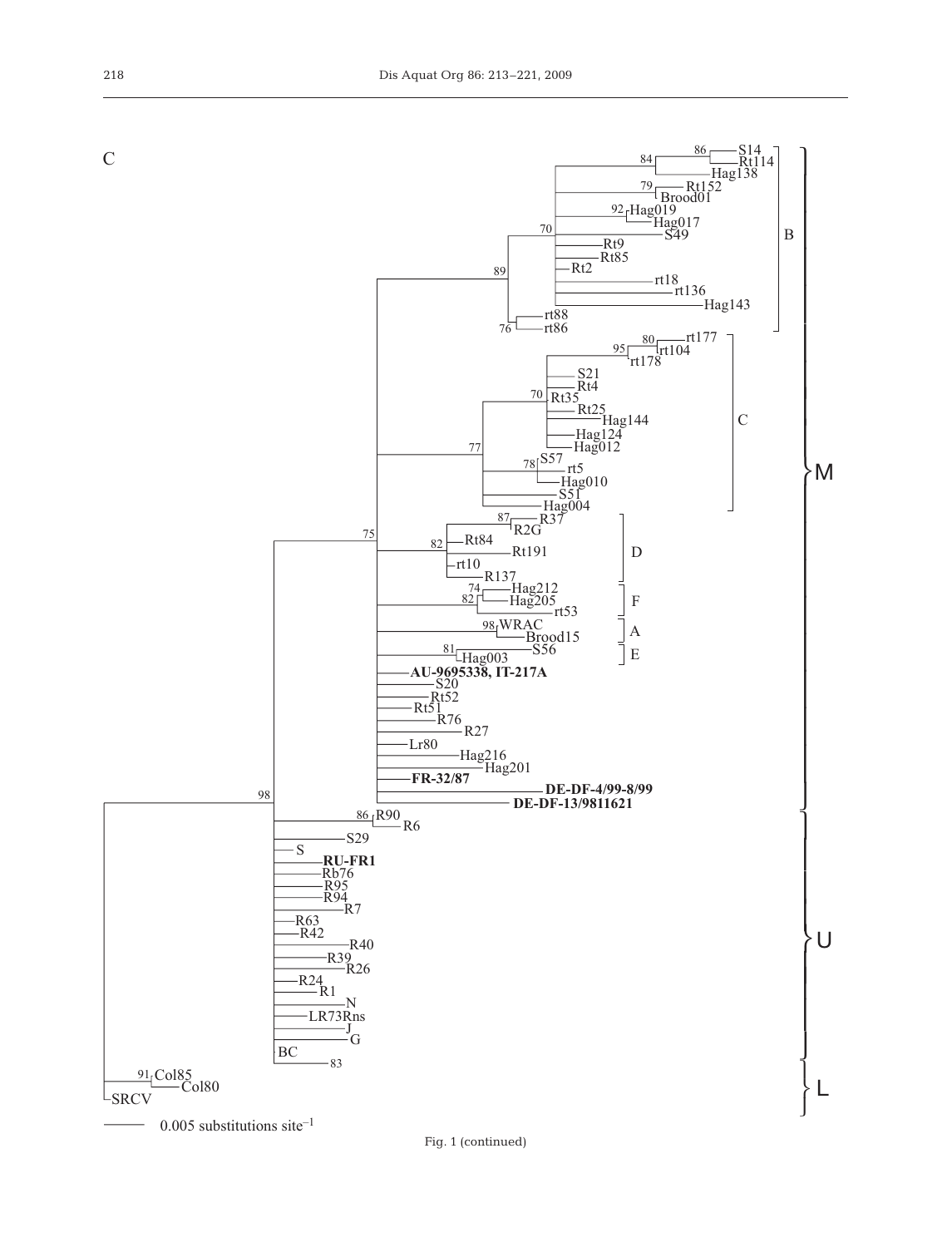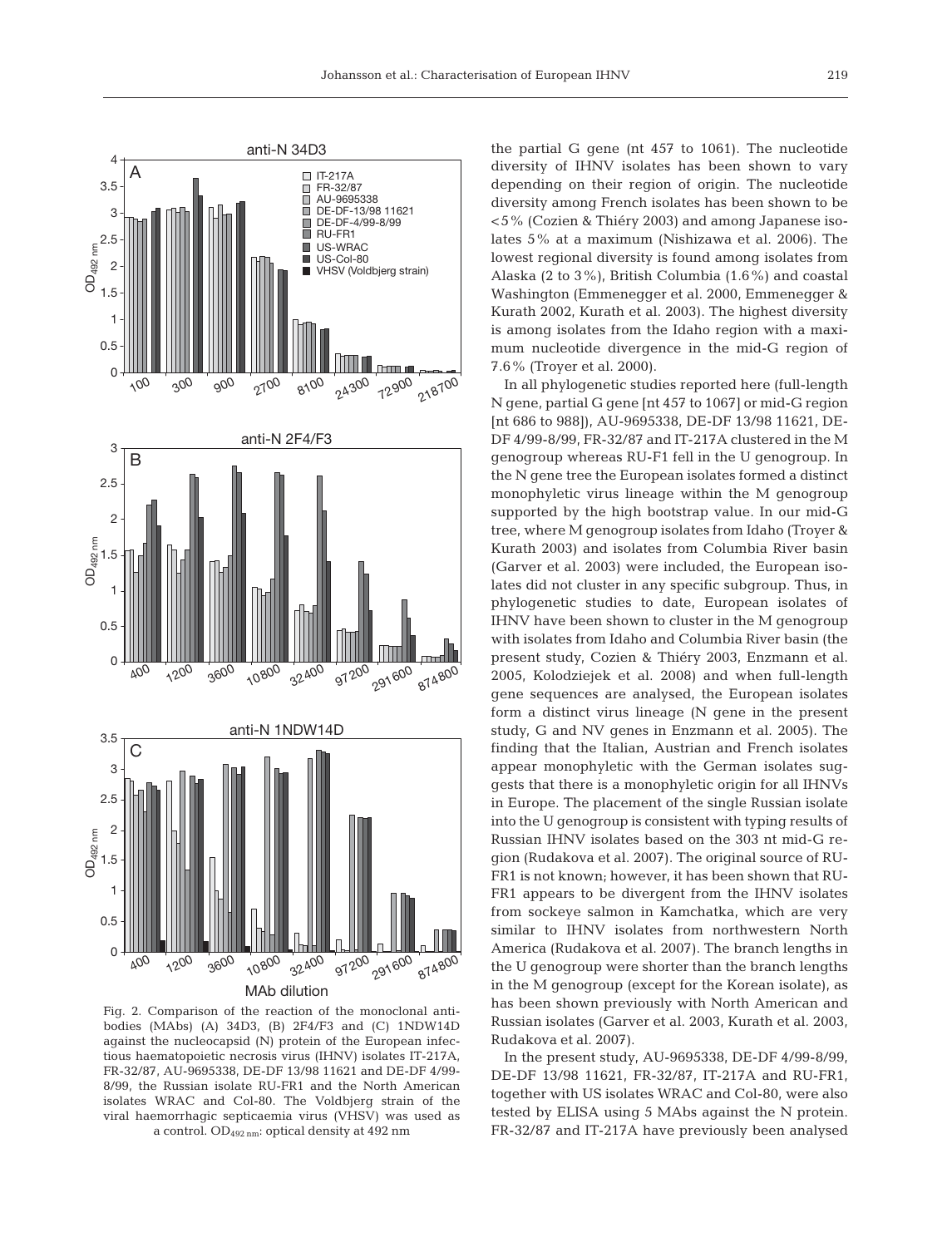

Fig. 2. Comparison of the reaction of the monoclonal antibodies (MAbs) (A) 34D3, (B) 2F4/F3 and (C) 1NDW14D against the nucleocapsid (N) protein of the European infectious haematopoietic necrosis virus (IHNV) isolates IT-217A, FR-32/87, AU-9695338, DE-DF 13/98 11621 and DE-DF 4/99- 8/99, the Russian isolate RU-FR1 and the North American isolates WRAC and Col-80. The Voldbjerg strain of the viral haemorrhagic septicaemia virus (VHSV) was used as a control. OD492 nm: optical density at 492 nm

the partial G gene (nt 457 to 1061). The nucleotide diversity of IHNV isolates has been shown to vary depending on their region of origin. The nucleotide diversity among French isolates has been shown to be <5% (Cozien & Thiéry 2003) and among Japanese isolates 5% at a maximum (Nishizawa et al. 2006). The lowest regional diversity is found among isolates from Alaska (2 to 3%), British Columbia (1.6%) and coastal Washington (Emmenegger et al. 2000, Emmenegger & Kurath 2002, Kurath et al. 2003). The highest diversity is among isolates from the Idaho region with a maximum nucleotide divergence in the mid-G region of 7.6% (Troyer et al. 2000).

In all phylogenetic studies reported here (full-length N gene, partial G gene [nt 457 to 1067] or mid-G region [nt 686 to 988]), AU-9695338, DE-DF 13/98 11621, DE-DF 4/99-8/99, FR-32/87 and IT-217A clustered in the M genogroup whereas RU-F1 fell in the U genogroup. In the N gene tree the European isolates formed a distinct monophyletic virus lineage within the M genogroup supported by the high bootstrap value. In our mid-G tree, where M genogroup isolates from Idaho (Troyer & Kurath 2003) and isolates from Columbia River basin (Garver et al. 2003) were included, the European isolates did not cluster in any specific subgroup. Thus, in phylogenetic studies to date, European isolates of IHNV have been shown to cluster in the M genogroup with isolates from Idaho and Columbia River basin (the present study, Cozien & Thiéry 2003, Enzmann et al. 2005, Kolodziejek et al. 2008) and when full-length gene sequences are analysed, the European isolates form a distinct virus lineage (N gene in the present study, G and NV genes in Enzmann et al. 2005). The finding that the Italian, Austrian and French isolates appear monophyletic with the German isolates suggests that there is a monophyletic origin for all IHNVs in Europe. The placement of the single Russian isolate into the U genogroup is consistent with typing results of Russian IHNV isolates based on the 303 nt mid-G region (Rudakova et al. 2007). The original source of RU-FR1 is not known; however, it has been shown that RU-FR1 appears to be divergent from the IHNV isolates from sockeye salmon in Kamchatka, which are very similar to IHNV isolates from northwestern North America (Rudakova et al. 2007). The branch lengths in the U genogroup were shorter than the branch lengths in the M genogroup (except for the Korean isolate), as has been shown previously with North American and Russian isolates (Garver et al. 2003, Kurath et al. 2003, Rudakova et al. 2007).

In the present study, AU-9695338, DE-DF 4/99-8/99, DE-DF 13/98 11621, FR-32/87, IT-217A and RU-FR1, together with US isolates WRAC and Col-80, were also tested by ELISA using 5 MAbs against the N protein. FR-32/87 and IT-217A have previously been analysed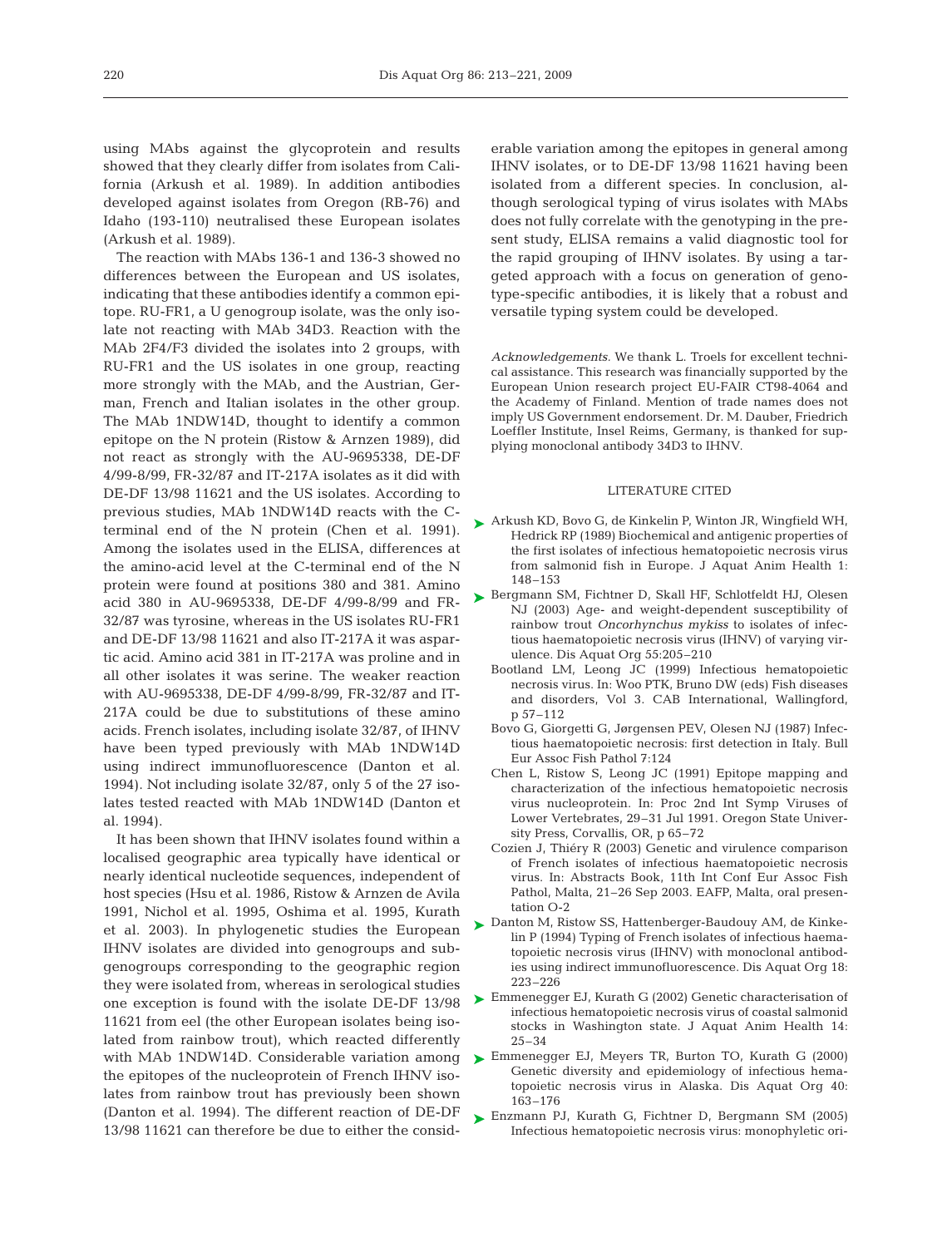using MAbs against the glycoprotein and results showed that they clearly differ from isolates from California (Arkush et al. 1989). In addition antibodies developed against isolates from Oregon (RB-76) and Idaho (193-110) neutralised these European isolates (Arkush et al. 1989).

The reaction with MAbs 136-1 and 136-3 showed no differences between the European and US isolates, indicating that these antibodies identify a common epitope. RU-FR1, a U genogroup isolate, was the only isolate not reacting with MAb 34D3. Reaction with the MAb 2F4/F3 divided the isolates into 2 groups, with RU-FR1 and the US isolates in one group, reacting more strongly with the MAb, and the Austrian, German, French and Italian isolates in the other group. The MAb 1NDW14D, thought to identify a common epitope on the N protein (Ristow & Arnzen 1989), did not react as strongly with the AU-9695338, DE-DF 4/99-8/99, FR-32/87 and IT-217A isolates as it did with DE-DF 13/98 11621 and the US isolates. According to previous studies, MAb 1NDW14D reacts with the Cterminal end of the N protein (Chen et al. 1991). Among the isolates used in the ELISA, differences at the amino-acid level at the C-terminal end of the N protein were found at positions 380 and 381. Amino acid 380 in AU-9695338, DE-DF 4/99-8/99 and FR-32/87 was tyrosine, whereas in the US isolates RU-FR1 and DE-DF 13/98 11621 and also IT-217A it was aspartic acid. Amino acid 381 in IT-217A was proline and in all other isolates it was serine. The weaker reaction with AU-9695338, DE-DF 4/99-8/99, FR-32/87 and IT-217A could be due to substitutions of these amino acids. French isolates, including isolate 32/87, of IHNV have been typed previously with MAb 1NDW14D using indirect immunofluorescence (Danton et al. 1994). Not including isolate 32/87, only 5 of the 27 isolates tested reacted with MAb 1NDW14D (Danton et al. 1994).

It has been shown that IHNV isolates found within a localised geographic area typically have identical or nearly identical nucleotide sequences, independent of host species (Hsu et al. 1986, Ristow & Arnzen de Avila 1991, Nichol et al. 1995, Oshima et al. 1995, Kurath et al. 2003). In phylogenetic studies the European IHNV isolates are divided into genogroups and subgenogroups corresponding to the geographic region they were isolated from, whereas in serological studies one exception is found with the isolate DE-DF 13/98 11621 from eel (the other European isolates being isolated from rainbow trout), which reacted differently with MAb 1NDW14D. Considerable variation among the epitopes of the nucleoprotein of French IHNV isolates from rainbow trout has previously been shown (Danton et al. 1994). The different reaction of DE-DF 13/98 11621 can therefore be due to either the considerable variation among the epitopes in general among IHNV isolates, or to DE-DF 13/98 11621 having been isolated from a different species. In conclusion, although serological typing of virus isolates with MAbs does not fully correlate with the genotyping in the present study, ELISA remains a valid diagnostic tool for the rapid grouping of IHNV isolates. By using a targeted approach with a focus on generation of genotype-specific antibodies, it is likely that a robust and versatile typing system could be developed.

*Acknowledgements.* We thank L. Troels for excellent technical assistance. This research was financially supported by the European Union research project EU-FAIR CT98-4064 and the Academy of Finland. Mention of trade names does not imply US Government endorsement. Dr. M. Dauber, Friedrich Loeffler Institute, Insel Reims, Germany, is thanked for supplying monoclonal antibody 34D3 to IHNV.

## LITERATURE CITED

- ► Arkush KD, Bovo G, de Kinkelin P, Winton JR, Wingfield WH, Hedrick RP (1989) Biochemical and antigenic properties of the first isolates of infectious hematopoietic necrosis virus from salmonid fish in Europe. J Aquat Anim Health 1: 148–153
- ► Bergmann SM, Fichtner D, Skall HF, Schlotfeldt HJ, Olesen NJ (2003) Age- and weight-dependent susceptibility of rainbow trout *Oncorhynchus mykiss* to isolates of infectious haematopoietic necrosis virus (IHNV) of varying virulence. Dis Aquat Org 55:205–210
	- Bootland LM, Leong JC (1999) Infectious hematopoietic necrosis virus. In: Woo PTK, Bruno DW (eds) Fish diseases and disorders, Vol 3. CAB International, Wallingford, p 57–112
	- Bovo G, Giorgetti G, Jørgensen PEV, Olesen NJ (1987) Infectious haematopoietic necrosis: first detection in Italy. Bull Eur Assoc Fish Pathol 7:124
	- Chen L, Ristow S, Leong JC (1991) Epitope mapping and characterization of the infectious hematopoietic necrosis virus nucleoprotein. In: Proc 2nd Int Symp Viruses of Lower Vertebrates, 29–31 Jul 1991. Oregon State University Press, Corvallis, OR, p 65–72
	- Cozien J, Thiéry R (2003) Genetic and virulence comparison of French isolates of infectious haematopoietic necrosis virus. In: Abstracts Book, 11th Int Conf Eur Assoc Fish Pathol, Malta, 21–26 Sep 2003. EAFP, Malta, oral presentation O-2
- ► Danton M, Ristow SS, Hattenberger-Baudouy AM, de Kinkelin P (1994) Typing of French isolates of infectious haematopoietic necrosis virus (IHNV) with monoclonal antibodies using indirect immunofluorescence. Dis Aquat Org 18: 223–226
- ► Emmenegger EJ, Kurath G (2002) Genetic characterisation of infectious hematopoietic necrosis virus of coastal salmonid stocks in Washington state. J Aquat Anim Health 14: 25–34
- ► Emmenegger EJ, Meyers TR, Burton TO, Kurath G (2000) Genetic diversity and epidemiology of infectious hematopoietic necrosis virus in Alaska. Dis Aquat Org 40: 163–176
- ► Enzmann PJ, Kurath G, Fichtner D, Bergmann SM (2005) Infectious hematopoietic necrosis virus: monophyletic ori-